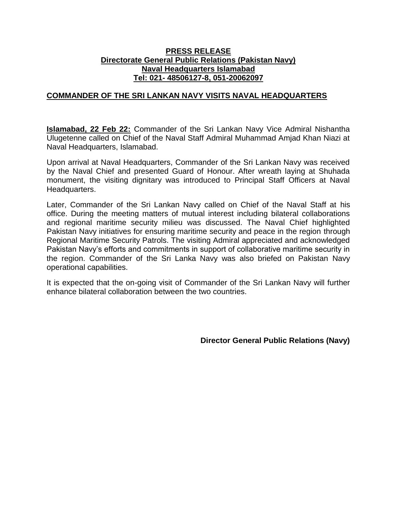## **PRESS RELEASE Directorate General Public Relations (Pakistan Navy) Naval Headquarters Islamabad Tel: 021- 48506127-8, 051-20062097**

## **COMMANDER OF THE SRI LANKAN NAVY VISITS NAVAL HEADQUARTERS**

**Islamabad, 22 Feb 22:** Commander of the Sri Lankan Navy Vice Admiral Nishantha Ulugetenne called on Chief of the Naval Staff Admiral Muhammad Amjad Khan Niazi at Naval Headquarters, Islamabad.

Upon arrival at Naval Headquarters, Commander of the Sri Lankan Navy was received by the Naval Chief and presented Guard of Honour. After wreath laying at Shuhada monument, the visiting dignitary was introduced to Principal Staff Officers at Naval Headquarters.

Later, Commander of the Sri Lankan Navy called on Chief of the Naval Staff at his office. During the meeting matters of mutual interest including bilateral collaborations and regional maritime security milieu was discussed. The Naval Chief highlighted Pakistan Navy initiatives for ensuring maritime security and peace in the region through Regional Maritime Security Patrols. The visiting Admiral appreciated and acknowledged Pakistan Navy's efforts and commitments in support of collaborative maritime security in the region. Commander of the Sri Lanka Navy was also briefed on Pakistan Navy operational capabilities.

It is expected that the on-going visit of Commander of the Sri Lankan Navy will further enhance bilateral collaboration between the two countries.

**Director General Public Relations (Navy)**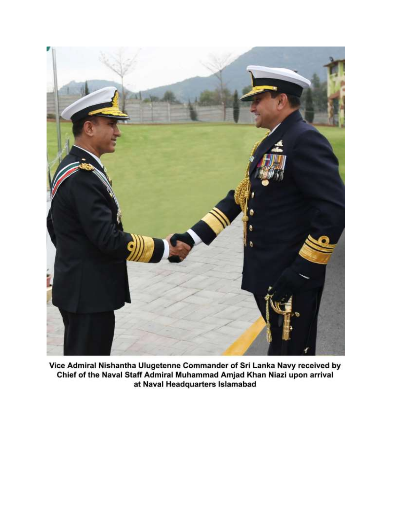

Vice Admiral Nishantha Ulugetenne Commander of Sri Lanka Navy received by<br>Chief of the Naval Staff Admiral Muhammad Amjad Khan Niazi upon arrival at Naval Headquarters Islamabad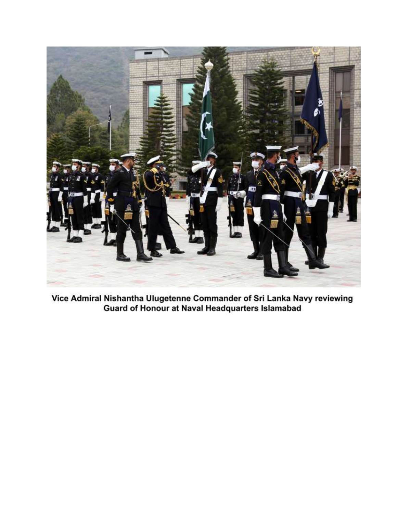

Vice Admiral Nishantha Ulugetenne Commander of Sri Lanka Navy reviewing **Guard of Honour at Naval Headquarters Islamabad**